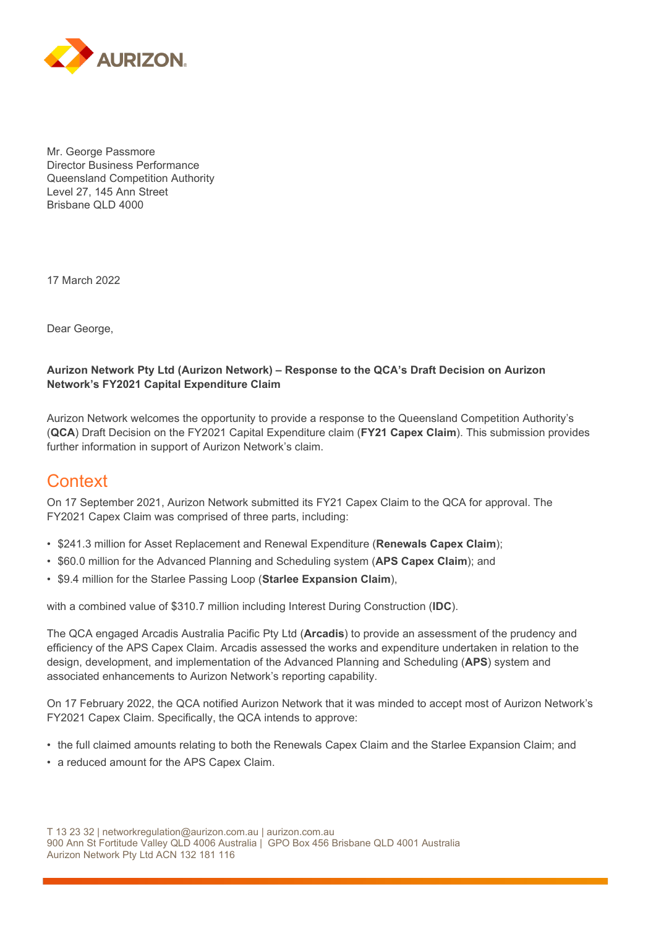

Mr. George Passmore Director Business Performance Queensland Competition Authority Level 27, 145 Ann Street Brisbane QLD 4000

17 March 2022

Dear George,

#### **Aurizon Network Pty Ltd (Aurizon Network) – Response to the QCA's Draft Decision on Aurizon Network's FY2021 Capital Expenditure Claim**

Aurizon Network welcomes the opportunity to provide a response to the Queensland Competition Authority's (**QCA**) Draft Decision on the FY2021 Capital Expenditure claim (**FY21 Capex Claim**). This submission provides further information in support of Aurizon Network's claim.

### **Context**

On 17 September 2021, Aurizon Network submitted its FY21 Capex Claim to the QCA for approval. The FY2021 Capex Claim was comprised of three parts, including:

- \$241.3 million for Asset Replacement and Renewal Expenditure (**Renewals Capex Claim**);
- \$60.0 million for the Advanced Planning and Scheduling system (**APS Capex Claim**); and
- \$9.4 million for the Starlee Passing Loop (**Starlee Expansion Claim**),

with a combined value of \$310.7 million including Interest During Construction (**IDC**).

The QCA engaged Arcadis Australia Pacific Pty Ltd (**Arcadis**) to provide an assessment of the prudency and efficiency of the APS Capex Claim. Arcadis assessed the works and expenditure undertaken in relation to the design, development, and implementation of the Advanced Planning and Scheduling (**APS**) system and associated enhancements to Aurizon Network's reporting capability.

On 17 February 2022, the QCA notified Aurizon Network that it was minded to accept most of Aurizon Network's FY2021 Capex Claim. Specifically, the QCA intends to approve:

- the full claimed amounts relating to both the Renewals Capex Claim and the Starlee Expansion Claim; and
- a reduced amount for the APS Capex Claim.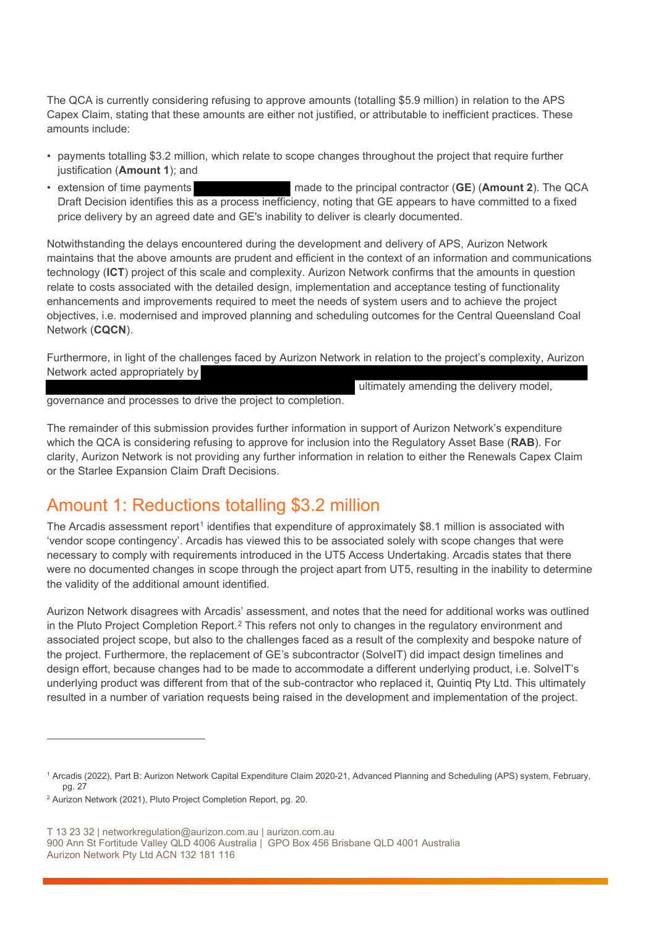The QCA is currently considering refusing to approve amounts (totalling \$5.9 million) in relation to the APS Capex Claim, stating that these amounts are either not justified, or attributable to inefficient practices. These amounts include:

- payments totalling \$3.2 million, which relate to scope changes throughout the project that require further justification (**Amount 1**); and
- extension of time payments made to the principal contractor (**GE**) (**Amount 2**). The QCA Draft Decision identifies this as a process inefficiency, noting that GE appears to have committed to a fixed price delivery by an agreed date and GE's inability to deliver is clearly documented.

Notwithstanding the delays encountered during the development and delivery of APS, Aurizon Network maintains that the above amounts are prudent and efficient in the context of an information and communications technology (**ICT**) project of this scale and complexity. Aurizon Network confirms that the amounts in question relate to costs associated with the detailed design, implementation and acceptance testing of functionality enhancements and improvements required to meet the needs of system users and to achieve the project objectives, i.e. modernised and improved planning and scheduling outcomes for the Central Queensland Coal Network (**CQCN**).

Furthermore, in light of the challenges faced by Aurizon Network in relation to the project's complexity, Aurizon Network acted appropriately by

ultimately amending the delivery model,

governance and processes to drive the project to completion.

The remainder of this submission provides further information in support of Aurizon Network's expenditure which the QCA is considering refusing to approve for inclusion into the Regulatory Asset Base (**RAB**). For clarity, Aurizon Network is not providing any further information in relation to either the Renewals Capex Claim or the Starlee Expansion Claim Draft Decisions.

# Amount 1: Reductions totalling \$3.2 million

The Arcadis assessment report<sup>[1](#page-1-0)</sup> identifies that expenditure of approximately \$8.1 million is associated with 'vendor scope contingency'. Arcadis has viewed this to be associated solely with scope changes that were necessary to comply with requirements introduced in the UT5 Access Undertaking. Arcadis states that there were no documented changes in scope through the project apart from UT5, resulting in the inability to determine the validity of the additional amount identified.

Aurizon Network disagrees with Arcadis' assessment, and notes that the need for additional works was outlined in the Pluto Project Completion Report.<sup>[2](#page-1-1)</sup> This refers not only to changes in the regulatory environment and associated project scope, but also to the challenges faced as a result of the complexity and bespoke nature of the project. Furthermore, the replacement of GE's subcontractor (SolveIT) did impact design timelines and design effort, because changes had to be made to accommodate a different underlying product, i.e. SolveIT's underlying product was different from that of the sub-contractor who replaced it, Quintiq Pty Ltd. This ultimately resulted in a number of variation requests being raised in the development and implementation of the project.

<span id="page-1-0"></span><sup>1</sup> Arcadis (2022), Part B: Aurizon Network Capital Expenditure Claim 2020-21, Advanced Planning and Scheduling (APS) system, February, pg. 27

<span id="page-1-1"></span><sup>2</sup> Aurizon Network (2021), Pluto Project Completion Report, pg. 20.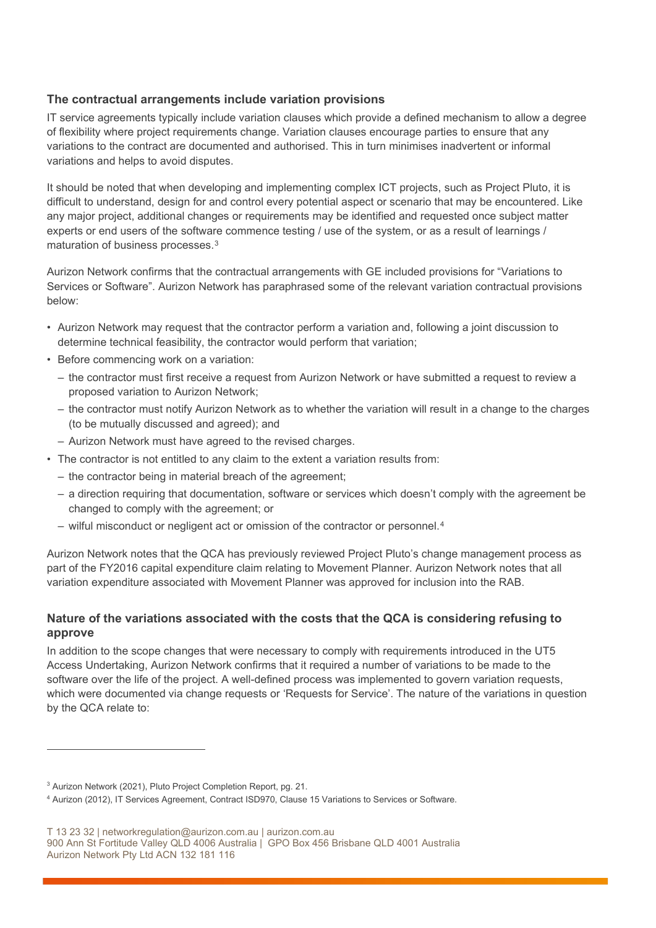### **The contractual arrangements include variation provisions**

IT service agreements typically include variation clauses which provide a defined mechanism to allow a degree of flexibility where project requirements change. Variation clauses encourage parties to ensure that any variations to the contract are documented and authorised. This in turn minimises inadvertent or informal variations and helps to avoid disputes.

It should be noted that when developing and implementing complex ICT projects, such as Project Pluto, it is difficult to understand, design for and control every potential aspect or scenario that may be encountered. Like any major project, additional changes or requirements may be identified and requested once subject matter experts or end users of the software commence testing / use of the system, or as a result of learnings / maturation of business processes.[3](#page-2-0)

Aurizon Network confirms that the contractual arrangements with GE included provisions for "Variations to Services or Software". Aurizon Network has paraphrased some of the relevant variation contractual provisions below:

- Aurizon Network may request that the contractor perform a variation and, following a joint discussion to determine technical feasibility, the contractor would perform that variation;
- Before commencing work on a variation:
	- the contractor must first receive a request from Aurizon Network or have submitted a request to review a proposed variation to Aurizon Network;
	- the contractor must notify Aurizon Network as to whether the variation will result in a change to the charges (to be mutually discussed and agreed); and
	- Aurizon Network must have agreed to the revised charges.
- The contractor is not entitled to any claim to the extent a variation results from:
	- the contractor being in material breach of the agreement;
	- a direction requiring that documentation, software or services which doesn't comply with the agreement be changed to comply with the agreement; or
	- wilful misconduct or negligent act or omission of the contractor or personnel.[4](#page-2-1)

Aurizon Network notes that the QCA has previously reviewed Project Pluto's change management process as part of the FY2016 capital expenditure claim relating to Movement Planner. Aurizon Network notes that all variation expenditure associated with Movement Planner was approved for inclusion into the RAB.

### **Nature of the variations associated with the costs that the QCA is considering refusing to approve**

In addition to the scope changes that were necessary to comply with requirements introduced in the UT5 Access Undertaking, Aurizon Network confirms that it required a number of variations to be made to the software over the life of the project. A well-defined process was implemented to govern variation requests, which were documented via change requests or 'Requests for Service'. The nature of the variations in question by the QCA relate to:

<span id="page-2-0"></span><sup>&</sup>lt;sup>3</sup> Aurizon Network (2021), Pluto Project Completion Report, pg. 21.

<span id="page-2-1"></span><sup>4</sup> Aurizon (2012), IT Services Agreement, Contract ISD970, Clause 15 Variations to Services or Software.

T 13 23 32 | networkregulation@aurizon.com.au | aurizon.com.au

<sup>900</sup> Ann St Fortitude Valley QLD 4006 Australia | GPO Box 456 Brisbane QLD 4001 Australia Aurizon Network Pty Ltd ACN 132 181 116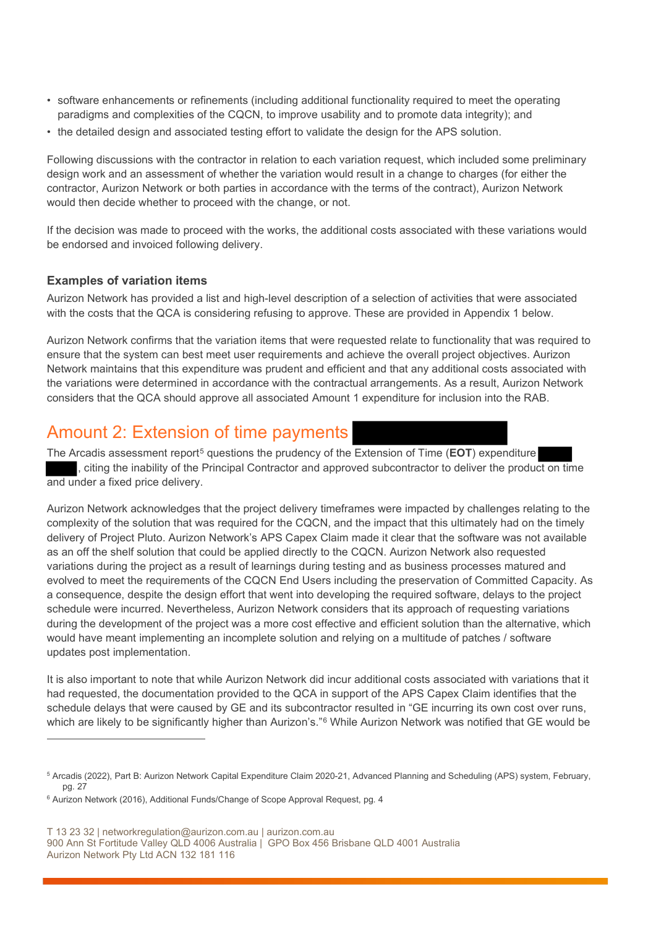- software enhancements or refinements (including additional functionality required to meet the operating paradigms and complexities of the CQCN, to improve usability and to promote data integrity); and
- the detailed design and associated testing effort to validate the design for the APS solution.

Following discussions with the contractor in relation to each variation request, which included some preliminary design work and an assessment of whether the variation would result in a change to charges (for either the contractor, Aurizon Network or both parties in accordance with the terms of the contract), Aurizon Network would then decide whether to proceed with the change, or not.

If the decision was made to proceed with the works, the additional costs associated with these variations would be endorsed and invoiced following delivery.

### **Examples of variation items**

Aurizon Network has provided a list and high-level description of a selection of activities that were associated with the costs that the QCA is considering refusing to approve. These are provided in Appendix 1 below.

Aurizon Network confirms that the variation items that were requested relate to functionality that was required to ensure that the system can best meet user requirements and achieve the overall project objectives. Aurizon Network maintains that this expenditure was prudent and efficient and that any additional costs associated with the variations were determined in accordance with the contractual arrangements. As a result, Aurizon Network considers that the QCA should approve all associated Amount 1 expenditure for inclusion into the RAB.

# Amount 2: Extension of time payments

The Arcadis assessment report[5](#page-3-0) questions the prudency of the Extension of Time (**EOT**) expenditure , citing the inability of the Principal Contractor and approved subcontractor to deliver the product on time and under a fixed price delivery.

Aurizon Network acknowledges that the project delivery timeframes were impacted by challenges relating to the complexity of the solution that was required for the CQCN, and the impact that this ultimately had on the timely delivery of Project Pluto. Aurizon Network's APS Capex Claim made it clear that the software was not available as an off the shelf solution that could be applied directly to the CQCN. Aurizon Network also requested variations during the project as a result of learnings during testing and as business processes matured and evolved to meet the requirements of the CQCN End Users including the preservation of Committed Capacity. As a consequence, despite the design effort that went into developing the required software, delays to the project schedule were incurred. Nevertheless, Aurizon Network considers that its approach of requesting variations during the development of the project was a more cost effective and efficient solution than the alternative, which would have meant implementing an incomplete solution and relying on a multitude of patches / software updates post implementation.

It is also important to note that while Aurizon Network did incur additional costs associated with variations that it had requested, the documentation provided to the QCA in support of the APS Capex Claim identifies that the schedule delays that were caused by GE and its subcontractor resulted in "GE incurring its own cost over runs, which are likely to be significantly higher than Aurizon's."<sup>[6](#page-3-1)</sup> While Aurizon Network was notified that GE would be

<span id="page-3-0"></span><sup>5</sup> Arcadis (2022), Part B: Aurizon Network Capital Expenditure Claim 2020-21, Advanced Planning and Scheduling (APS) system, February, pg. 27

<span id="page-3-1"></span><sup>6</sup> Aurizon Network (2016), Additional Funds/Change of Scope Approval Request, pg. 4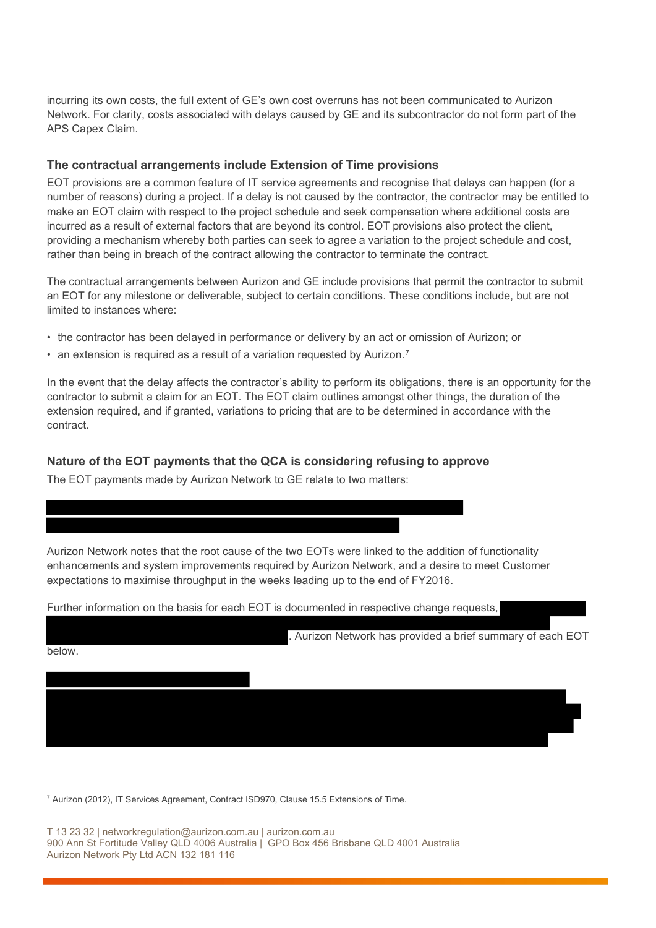incurring its own costs, the full extent of GE's own cost overruns has not been communicated to Aurizon Network. For clarity, costs associated with delays caused by GE and its subcontractor do not form part of the APS Capex Claim.

#### **The contractual arrangements include Extension of Time provisions**

EOT provisions are a common feature of IT service agreements and recognise that delays can happen (for a number of reasons) during a project. If a delay is not caused by the contractor, the contractor may be entitled to make an EOT claim with respect to the project schedule and seek compensation where additional costs are incurred as a result of external factors that are beyond its control. EOT provisions also protect the client, providing a mechanism whereby both parties can seek to agree a variation to the project schedule and cost, rather than being in breach of the contract allowing the contractor to terminate the contract.

The contractual arrangements between Aurizon and GE include provisions that permit the contractor to submit an EOT for any milestone or deliverable, subject to certain conditions. These conditions include, but are not limited to instances where:

- the contractor has been delayed in performance or delivery by an act or omission of Aurizon; or
- an extension is required as a result of a variation requested by Aurizon.<sup>[7](#page-4-0)</sup>

In the event that the delay affects the contractor's ability to perform its obligations, there is an opportunity for the contractor to submit a claim for an EOT. The EOT claim outlines amongst other things, the duration of the extension required, and if granted, variations to pricing that are to be determined in accordance with the contract.

#### **Nature of the EOT payments that the QCA is considering refusing to approve**

Further information on the basis for each EOT is documented in respective change requests,

The EOT payments made by Aurizon Network to GE relate to two matters:

Aurizon Network notes that the root cause of the two EOTs were linked to the addition of functionality enhancements and system improvements required by Aurizon Network, and a desire to meet Customer expectations to maximise throughput in the weeks leading up to the end of FY2016.

| below. | . Aurizon Network has provided a brief summary of each EOT |
|--------|------------------------------------------------------------|
|        |                                                            |
|        |                                                            |
|        |                                                            |
|        |                                                            |

<span id="page-4-0"></span><sup>7</sup> Aurizon (2012), IT Services Agreement, Contract ISD970, Clause 15.5 Extensions of Time.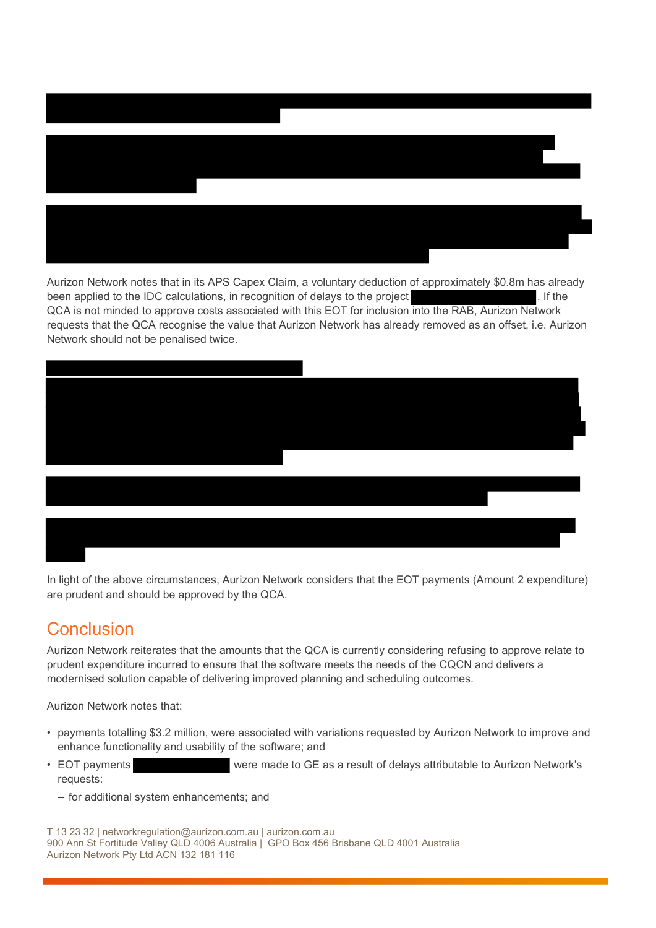

Aurizon Network notes that in its APS Capex Claim, a voluntary deduction of approximately \$0.8m has already been applied to the IDC calculations, in recognition of delays to the project . The state of the project . If the QCA is not minded to approve costs associated with this EOT for inclusion into the RAB, Aurizon Network requests that the QCA recognise the value that Aurizon Network has already removed as an offset, i.e. Aurizon Network should not be penalised twice.



In light of the above circumstances, Aurizon Network considers that the EOT payments (Amount 2 expenditure) are prudent and should be approved by the QCA.

# **Conclusion**

Aurizon Network reiterates that the amounts that the QCA is currently considering refusing to approve relate to prudent expenditure incurred to ensure that the software meets the needs of the CQCN and delivers a modernised solution capable of delivering improved planning and scheduling outcomes.

Aurizon Network notes that:

- payments totalling \$3.2 million, were associated with variations requested by Aurizon Network to improve and enhance functionality and usability of the software; and
- EOT payments were made to GE as a result of delays attributable to Aurizon Network's requests:
	- for additional system enhancements; and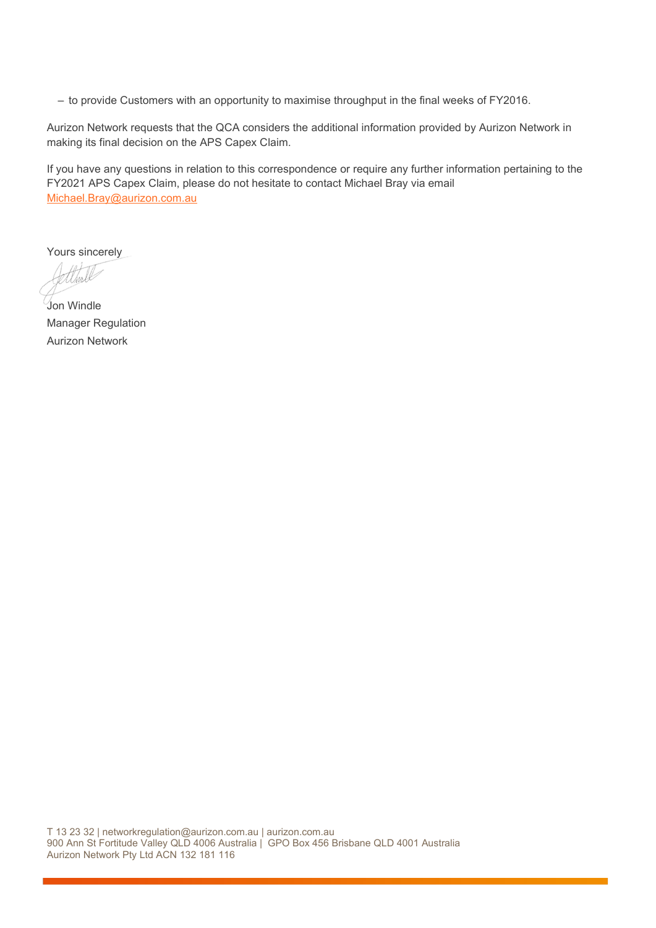– to provide Customers with an opportunity to maximise throughput in the final weeks of FY2016.

Aurizon Network requests that the QCA considers the additional information provided by Aurizon Network in making its final decision on the APS Capex Claim.

If you have any questions in relation to this correspondence or require any further information pertaining to the FY2021 APS Capex Claim, please do not hesitate to contact Michael Bray via email [Michael.Bray@aurizon.com.au](mailto:Michael.Bray@aurizon.com.au) 

Yours sincerely

1

Jon Windle Manager Regulation Aurizon Network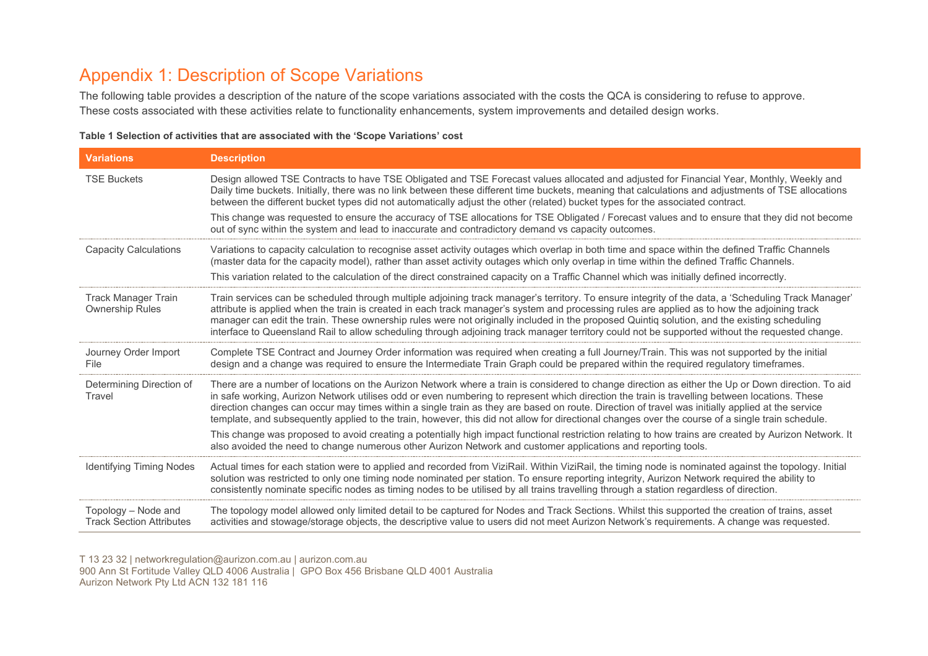# Appendix 1: Description of Scope Variations

The following table provides a description of the nature of the scope variations associated with the costs the QCA is considering to refuse to approve. These costs associated with these activities relate to functionality enhancements, system improvements and detailed design works.

| Table 1 Selection of activities that are associated with the 'Scope Variations' cost |  |
|--------------------------------------------------------------------------------------|--|
|--------------------------------------------------------------------------------------|--|

| <b>Variations</b>                                      | <b>Description</b>                                                                                                                                                                                                                                                                                                                                                                                                                                                                                                                                                                                         |
|--------------------------------------------------------|------------------------------------------------------------------------------------------------------------------------------------------------------------------------------------------------------------------------------------------------------------------------------------------------------------------------------------------------------------------------------------------------------------------------------------------------------------------------------------------------------------------------------------------------------------------------------------------------------------|
| <b>TSE Buckets</b>                                     | Design allowed TSE Contracts to have TSE Obligated and TSE Forecast values allocated and adjusted for Financial Year, Monthly, Weekly and<br>Daily time buckets. Initially, there was no link between these different time buckets, meaning that calculations and adjustments of TSE allocations<br>between the different bucket types did not automatically adjust the other (related) bucket types for the associated contract.                                                                                                                                                                          |
|                                                        | This change was requested to ensure the accuracy of TSE allocations for TSE Obligated / Forecast values and to ensure that they did not become<br>out of sync within the system and lead to inaccurate and contradictory demand vs capacity outcomes.                                                                                                                                                                                                                                                                                                                                                      |
| <b>Capacity Calculations</b>                           | Variations to capacity calculation to recognise asset activity outages which overlap in both time and space within the defined Traffic Channels<br>(master data for the capacity model), rather than asset activity outages which only overlap in time within the defined Traffic Channels.<br>This variation related to the calculation of the direct constrained capacity on a Traffic Channel which was initially defined incorrectly.                                                                                                                                                                  |
| <b>Track Manager Train</b><br><b>Ownership Rules</b>   | Train services can be scheduled through multiple adjoining track manager's territory. To ensure integrity of the data, a 'Scheduling Track Manager'<br>attribute is applied when the train is created in each track manager's system and processing rules are applied as to how the adjoining track<br>manager can edit the train. These ownership rules were not originally included in the proposed Quintiq solution, and the existing scheduling<br>interface to Queensland Rail to allow scheduling through adjoining track manager territory could not be supported without the requested change.     |
| Journey Order Import<br>File                           | Complete TSE Contract and Journey Order information was required when creating a full Journey/Train. This was not supported by the initial<br>design and a change was required to ensure the Intermediate Train Graph could be prepared within the required regulatory timeframes.                                                                                                                                                                                                                                                                                                                         |
| Determining Direction of<br>Travel                     | There are a number of locations on the Aurizon Network where a train is considered to change direction as either the Up or Down direction. To aid<br>in safe working, Aurizon Network utilises odd or even numbering to represent which direction the train is travelling between locations. These<br>direction changes can occur may times within a single train as they are based on route. Direction of travel was initially applied at the service<br>template, and subsequently applied to the train, however, this did not allow for directional changes over the course of a single train schedule. |
|                                                        | This change was proposed to avoid creating a potentially high impact functional restriction relating to how trains are created by Aurizon Network. It<br>also avoided the need to change numerous other Aurizon Network and customer applications and reporting tools.                                                                                                                                                                                                                                                                                                                                     |
| <b>Identifying Timing Nodes</b>                        | Actual times for each station were to applied and recorded from ViziRail. Within ViziRail, the timing node is nominated against the topology. Initial<br>solution was restricted to only one timing node nominated per station. To ensure reporting integrity, Aurizon Network required the ability to<br>consistently nominate specific nodes as timing nodes to be utilised by all trains travelling through a station regardless of direction.                                                                                                                                                          |
| Topology - Node and<br><b>Track Section Attributes</b> | The topology model allowed only limited detail to be captured for Nodes and Track Sections. Whilst this supported the creation of trains, asset<br>activities and stowage/storage objects, the descriptive value to users did not meet Aurizon Network's requirements. A change was requested.                                                                                                                                                                                                                                                                                                             |